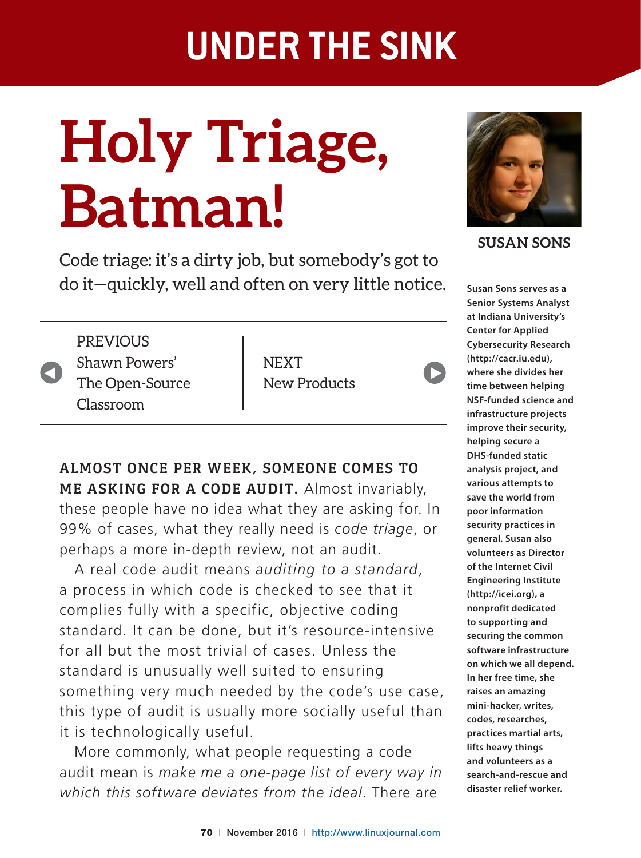# **Holy Triage, Batman!**

Code triage: it's a dirty job, but somebody's got to do it—quickly, well and often on very little notice.

**ALMOST ONCE PER WEEK, SOMEONE COMES TO ME ASKING FOR A CODE AUDIT.** Almost invariably, these people have no idea what they are asking for. In 99% of cases, what they really need is code triage, or

A real code audit means *auditing to a standard*,

standard. It can be done, but it's resource-intensive

something very much needed by the code's use case, this type of audit is usually more socially useful than

More commonly, what people requesting a code audit mean is *make me a one-page list of every way in*  which this software deviates from the ideal. There are

a process in which code is checked to see that it

complies fully with a specific, objective coding

for all but the most trivial of cases. Unless the

standard is unusually well suited to ensuring

it is technologically useful.

perhaps a more in-depth review, not an audit.



**PREVIOUS** Shawn Powers' The Open-Source Classroom

**NEXT** New Products



 $\blacktriangleright$ 

**SUSAN SONS**

**Senior Systems Analyst at Indiana University's Center for Applied Cybersecurity Research (http://cacr.iu.edu), where she divides her time between helping NSF-funded science and infrastructure projects improve their security, helping secure a DHS-funded static analysis project, and various attempts to save the world from poor information security practices in general. Susan also volunteers as Director of the Internet Civil Engineering Institute (http://icei.org), a nonprofit dedicated to supporting and securing the common software infrastructure on which we all depend. In her free time, she raises an amazing mini-hacker, writes, codes, researches, practices martial arts, lifts heavy things and volunteers as a search-and-rescue and disaster relief worker.**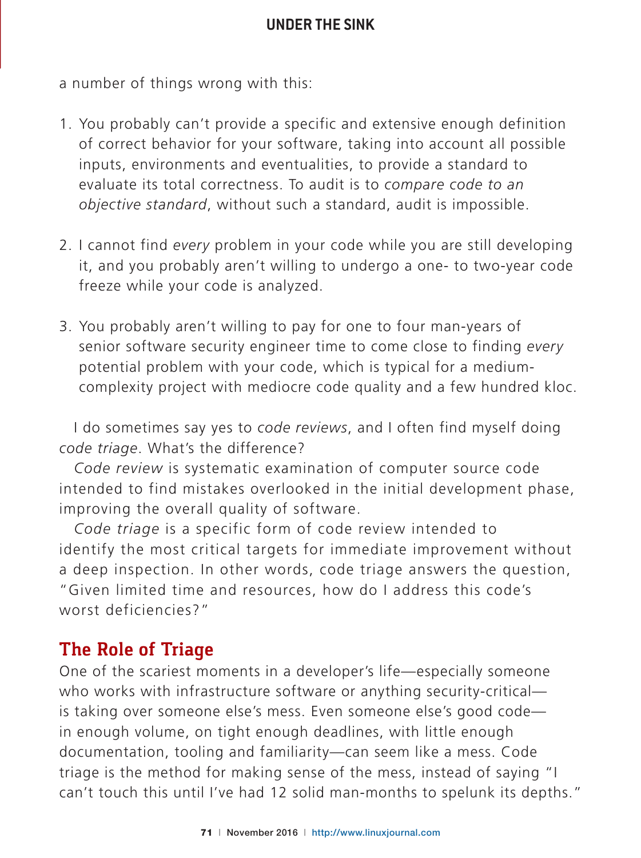a number of things wrong with this:

- 1. You probably can't provide a specific and extensive enough definition of correct behavior for your software, taking into account all possible inputs, environments and eventualities, to provide a standard to evaluate its total correctness. To audit is to *compare code to an objective standard*, without such a standard, audit is impossible.
- 2. I cannot find *every* problem in your code while you are still developing it, and you probably aren't willing to undergo a one- to two-year code freeze while your code is analyzed.
- 3. You probably aren't willing to pay for one to four man-years of senior software security engineer time to come close to finding *every* potential problem with your code, which is typical for a mediumcomplexity project with mediocre code quality and a few hundred kloc.

I do sometimes say yes to *code reviews*, and I often find myself doing *code triage*. What's the difference?

*Code review* is systematic examination of computer source code intended to find mistakes overlooked in the initial development phase, improving the overall quality of software.

*Code triage* is a specific form of code review intended to identify the most critical targets for immediate improvement without a deep inspection. In other words, code triage answers the question, "Given limited time and resources, how do I address this code's worst deficiencies?"

### **The Role of Triage**

One of the scariest moments in a developer's life-especially someone who works with infrastructure software or anything security-critical is taking over someone else's mess. Even someone else's good codein enough volume, on tight enough deadlines, with little enough documentation, tooling and familiarity-can seem like a mess. Code triage is the method for making sense of the mess, instead of saying "I can't touch this until I've had 12 solid man-months to spelunk its depths."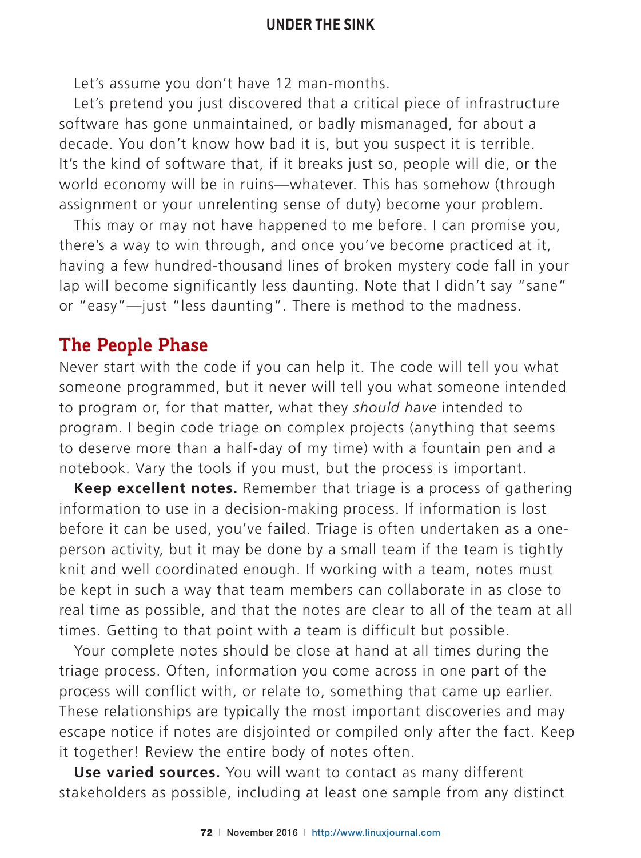Let's assume you don't have 12 man-months.

Let's pretend you just discovered that a critical piece of infrastructure software has gone unmaintained, or badly mismanaged, for about a decade. You don't know how bad it is, but you suspect it is terrible. It's the kind of software that, if it breaks just so, people will die, or the world economy will be in ruins-whatever. This has somehow (through assignment or your unrelenting sense of duty) become your problem.

This may or may not have happened to me before. I can promise you, there's a way to win through, and once you've become practiced at it, having a few hundred-thousand lines of broken mystery code fall in your Lap will become significantly less daunting. Note that I didn't say "sane" or "easy"-just "less daunting". There is method to the madness.

#### **The People Phase**

Never start with the code if you can help it. The code will tell you what someone programmed, but it never will tell you what someone intended to program or, for that matter, what they *should have* intended to program. I begin code triage on complex projects (anything that seems to deserve more than a half-day of my time) with a fountain pen and a notebook. Vary the tools if you must, but the process is important.

**Keep excellent notes.** Remember that triage is a process of gathering information to use in a decision-making process. If information is lost before it can be used, you've failed. Triage is often undertaken as a oneperson activity, but it may be done by a small team if the team is tightly knit and well coordinated enough. If working with a team, notes must be kept in such a way that team members can collaborate in as close to real time as possible, and that the notes are clear to all of the team at all times. Getting to that point with a team is difficult but possible.

Your complete notes should be close at hand at all times during the triage process. Often, information you come across in one part of the process will conflict with, or relate to, something that came up earlier. These relationships are typically the most important discoveries and may escape notice if notes are disjointed or compiled only after the fact. Keep it together! Review the entire body of notes often.

**Use varied sources.** You will want to contact as many different stakeholders as possible, including at least one sample from any distinct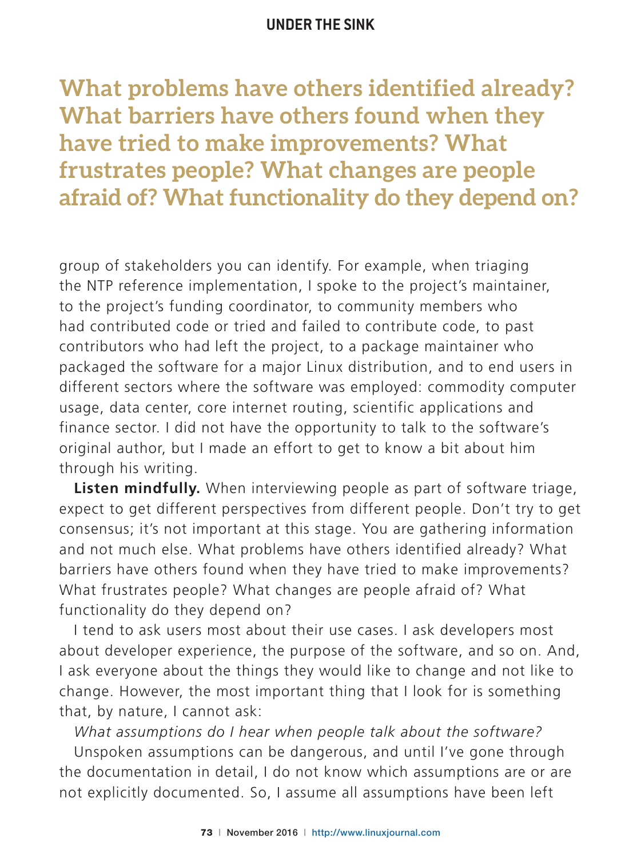**What problems have others identified already? What barriers have others found when they have tried to make improvements? What frustrates people? What changes are people afraid of? What functionality do they depend on?**

group of stakeholders you can identify. For example, when triaging the NTP reference implementation, I spoke to the project's maintainer, to the project's funding coordinator, to community members who had contributed code or tried and failed to contribute code, to past contributors who had left the project, to a package maintainer who packaged the software for a major Linux distribution, and to end users in different sectors where the software was employed: commodity computer usage, data center, core internet routing, scientific applications and finance sector. I did not have the opportunity to talk to the software's original author, but I made an effort to get to know a bit about him through his writing.

**Listen mindfully.** When interviewing people as part of software triage, expect to get different perspectives from different people. Don't try to get consensus; it's not important at this stage. You are gathering information and not much else. What problems have others identified already? What barriers have others found when they have tried to make improvements? What frustrates people? What changes are people afraid of? What functionality do they depend on?

I tend to ask users most about their use cases. I ask developers most about developer experience, the purpose of the software, and so on. And, I ask everyone about the things they would like to change and not like to change. However, the most important thing that I look for is something that, by nature, I cannot ask:

*What assumptions do I hear when people talk about the software?*

Unspoken assumptions can be dangerous, and until I've gone through the documentation in detail, I do not know which assumptions are or are not explicitly documented. So, I assume all assumptions have been left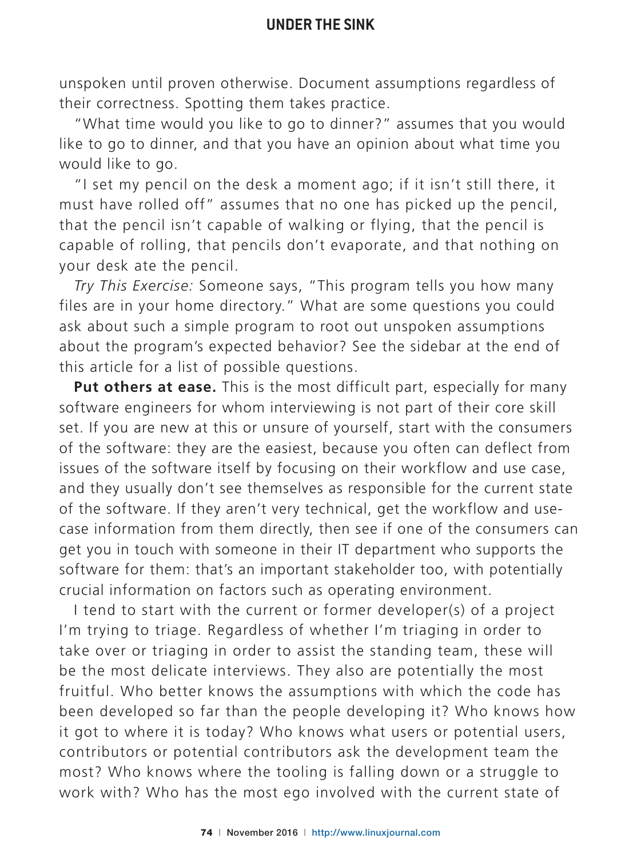unspoken until proven otherwise. Document assumptions regardless of their correctness. Spotting them takes practice.

"What time would you like to go to dinner?" assumes that you would like to go to dinner, and that you have an opinion about what time you would like to go.

"I set my pencil on the desk a moment ago; if it isn't still there, it must have rolled off" assumes that no one has picked up the pencil, that the pencil isn't capable of walking or flying, that the pencil is capable of rolling, that pencils don't evaporate, and that nothing on your desk ate the pencil.

*Try This Exercise:* Someone says, "This program tells you how many files are in your home directory." What are some questions you could ask about such a simple program to root out unspoken assumptions about the program's expected behavior? See the sidebar at the end of this article for a list of possible questions.

**Put others at ease.** This is the most difficult part, especially for many software engineers for whom interviewing is not part of their core skill set. If you are new at this or unsure of yourself, start with the consumers of the software: they are the easiest, because you often can deflect from issues of the software itself by focusing on their workflow and use case, and they usually don't see themselves as responsible for the current state of the software. If they aren't very technical, get the workflow and usecase information from them directly, then see if one of the consumers can get you in touch with someone in their IT department who supports the software for them: that's an important stakeholder too, with potentially crucial information on factors such as operating environment.

I tend to start with the current or former developer(s) of a project I'm trying to triage. Regardless of whether I'm triaging in order to take over or triaging in order to assist the standing team, these will be the most delicate interviews. They also are potentially the most fruitful. Who better knows the assumptions with which the code has been developed so far than the people developing it? Who knows how it got to where it is today? Who knows what users or potential users, contributors or potential contributors ask the development team the most? Who knows where the tooling is falling down or a struggle to work with? Who has the most ego involved with the current state of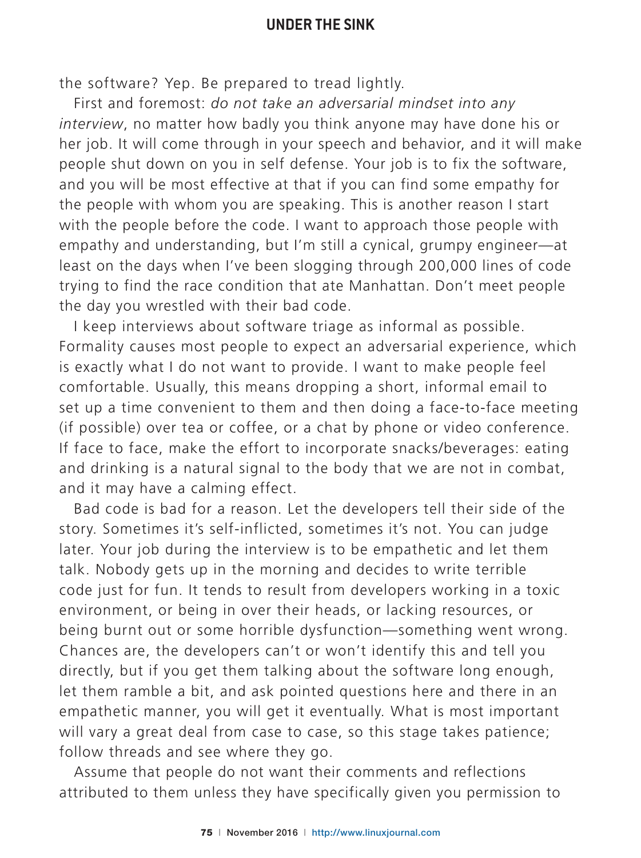the software? Yep. Be prepared to tread lightly.

First and foremost: do not take an adversarial mindset into any *interview*, no matter how badly you think anyone may have done his or her job. It will come through in your speech and behavior, and it will make people shut down on you in self defense. Your job is to fix the software, and you will be most effective at that if you can find some empathy for the people with whom you are speaking. This is another reason I start with the people before the code. I want to approach those people with empathy and understanding, but I'm still a cynical, grumpy engineer—at least on the days when I've been slogging through 200,000 lines of code trying to find the race condition that ate Manhattan. Don't meet people the day you wrestled with their bad code.

I keep interviews about software triage as informal as possible. Formality causes most people to expect an adversarial experience, which is exactly what I do not want to provide. I want to make people feel comfortable. Usually, this means dropping a short, informal email to set up a time convenient to them and then doing a face-to-face meeting (if possible) over tea or coffee, or a chat by phone or video conference. If face to face, make the effort to incorporate snacks/beverages: eating and drinking is a natural signal to the body that we are not in combat, and it may have a calming effect.

Bad code is bad for a reason. Let the developers tell their side of the story. Sometimes it's self-inflicted, sometimes it's not. You can judge later. Your job during the interview is to be empathetic and let them talk. Nobody gets up in the morning and decides to write terrible code just for fun. It tends to result from developers working in a toxic environment, or being in over their heads, or lacking resources, or being burnt out or some horrible dysfunction—something went wrong. Chances are, the developers can't or won't identify this and tell you directly, but if you get them talking about the software long enough, let them ramble a bit, and ask pointed questions here and there in an empathetic manner, you will get it eventually. What is most important will vary a great deal from case to case, so this stage takes patience; follow threads and see where they go.

Assume that people do not want their comments and reflections attributed to them unless they have specifically given you permission to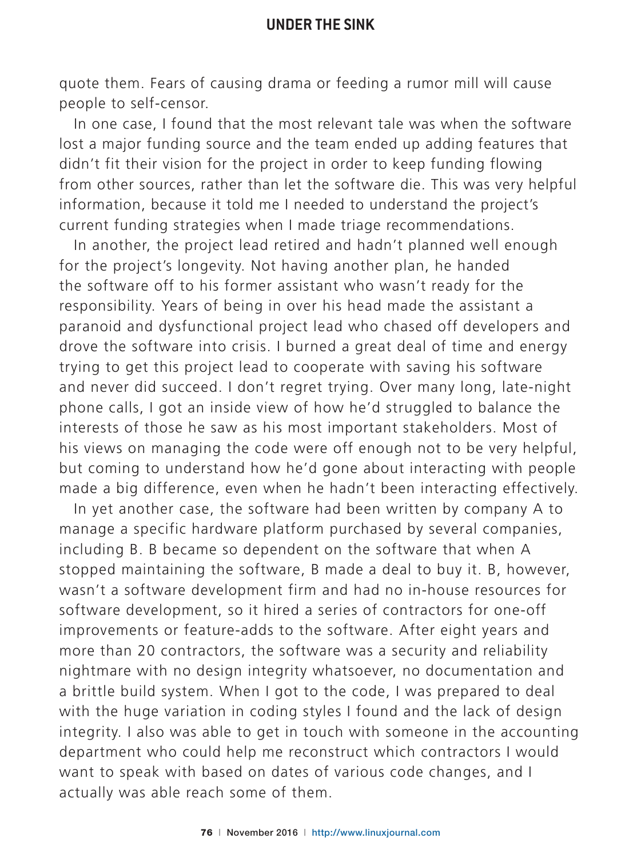quote them. Fears of causing drama or feeding a rumor mill will cause people to self-censor.

In one case, I found that the most relevant tale was when the software lost a major funding source and the team ended up adding features that didn't fit their vision for the project in order to keep funding flowing from other sources, rather than let the software die. This was very helpful information, because it told me I needed to understand the project's current funding strategies when I made triage recommendations.

In another, the project lead retired and hadn't planned well enough for the project's longevity. Not having another plan, he handed the software off to his former assistant who wasn't ready for the responsibility. Years of being in over his head made the assistant a paranoid and dysfunctional project lead who chased off developers and drove the software into crisis. I burned a great deal of time and energy trying to get this project lead to cooperate with saving his software and never did succeed. I don't regret trying. Over many long, late-night phone calls, I got an inside view of how he'd struggled to balance the interests of those he saw as his most important stakeholders. Most of his views on managing the code were off enough not to be very helpful, but coming to understand how he'd gone about interacting with people made a big difference, even when he hadn't been interacting effectively.

In yet another case, the software had been written by company A to manage a specific hardware platform purchased by several companies, including B. B became so dependent on the software that when A stopped maintaining the software, B made a deal to buy it. B, however, wasn't a software development firm and had no in-house resources for software development, so it hired a series of contractors for one-off improvements or feature-adds to the software. After eight years and more than 20 contractors, the software was a security and reliability nightmare with no design integrity whatsoever, no documentation and a brittle build system. When I got to the code, I was prepared to deal with the huge variation in coding styles I found and the lack of design integrity. I also was able to get in touch with someone in the accounting department who could help me reconstruct which contractors I would want to speak with based on dates of various code changes, and I actually was able reach some of them.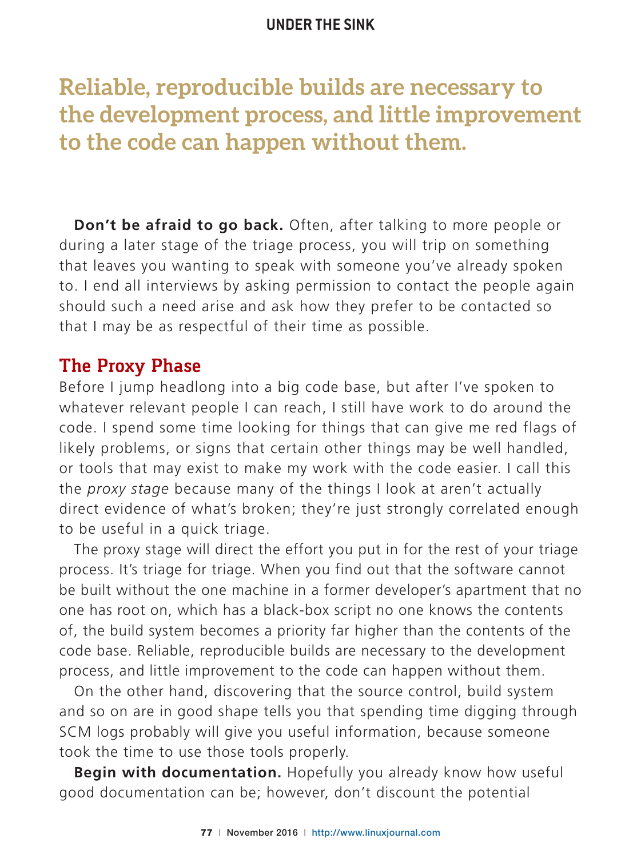# **Reliable, reproducible builds are necessary to the development process, and little improvement to the code can happen without them.**

**Don't be afraid to go back.** Often, after talking to more people or during a later stage of the triage process, you will trip on something that leaves you wanting to speak with someone you've already spoken to. I end all interviews by asking permission to contact the people again should such a need arise and ask how they prefer to be contacted so that I may be as respectful of their time as possible.

#### **The Proxy Phase**

Before I jump headlong into a big code base, but after I've spoken to whatever relevant people I can reach, I still have work to do around the code. I spend some time looking for things that can give me red flags of likely problems, or signs that certain other things may be well handled, or tools that may exist to make my work with the code easier. I call this the *proxy stage* because many of the things I look at aren't actually direct evidence of what's broken; they're just strongly correlated enough to be useful in a quick triage.

The proxy stage will direct the effort you put in for the rest of your triage process. It's triage for triage. When you find out that the software cannot be built without the one machine in a former developer's apartment that no one has root on, which has a black-box script no one knows the contents of, the build system becomes a priority far higher than the contents of the code base. Reliable, reproducible builds are necessary to the development process, and little improvement to the code can happen without them.

On the other hand, discovering that the source control, build system and so on are in good shape tells you that spending time digging through SCM logs probably will give you useful information, because someone took the time to use those tools properly.

**Begin with documentation.** Hopefully you already know how useful good documentation can be; however, don't discount the potential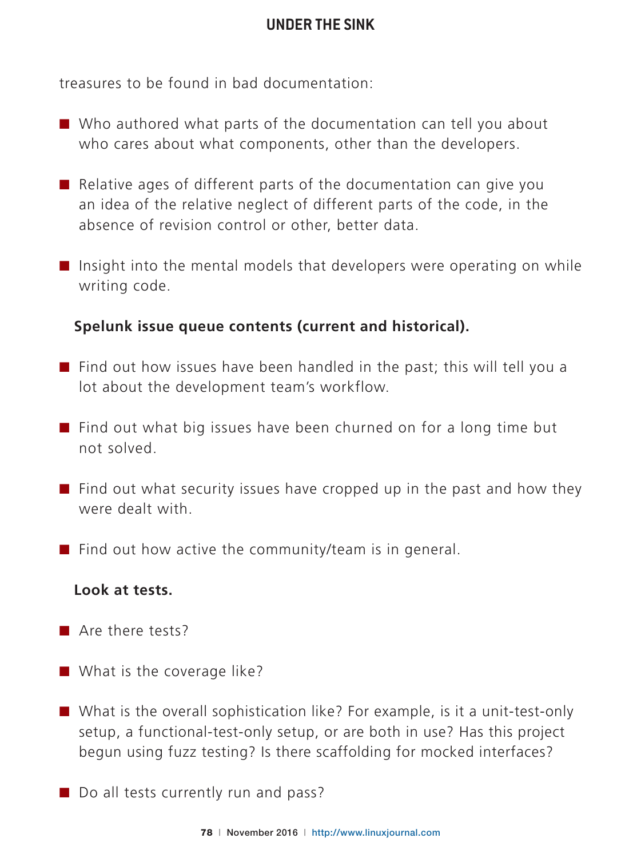treasures to be found in bad documentation.

- $\blacksquare$  Who authored what parts of the documentation can tell you about who cares about what components, other than the developers.
- $\blacksquare$  Relative ages of different parts of the documentation can give you an idea of the relative neglect of different parts of the code, in the absence of revision control or other, better data.
- Insight into the mental models that developers were operating on while writing code.

#### **Spelunk issue queue contents (current and historical).**

- $\blacksquare$  Find out how issues have been handled in the past; this will tell you a lot about the development team's workflow.
- $\blacksquare$  Find out what big issues have been churned on for a long time but not solved.
- $\blacksquare$  Find out what security issues have cropped up in the past and how they were dealt with.
- $\blacksquare$  Find out how active the community/team is in general.

#### **Look at tests.**

- $\blacksquare$  Are there tests?
- $\blacksquare$  What is the coverage like?
- $\blacksquare$  What is the overall sophistication like? For example, is it a unit-test-only setup, a functional-test-only setup, or are both in use? Has this project begun using fuzz testing? Is there scaffolding for mocked interfaces?
- $\blacksquare$  Do all tests currently run and pass?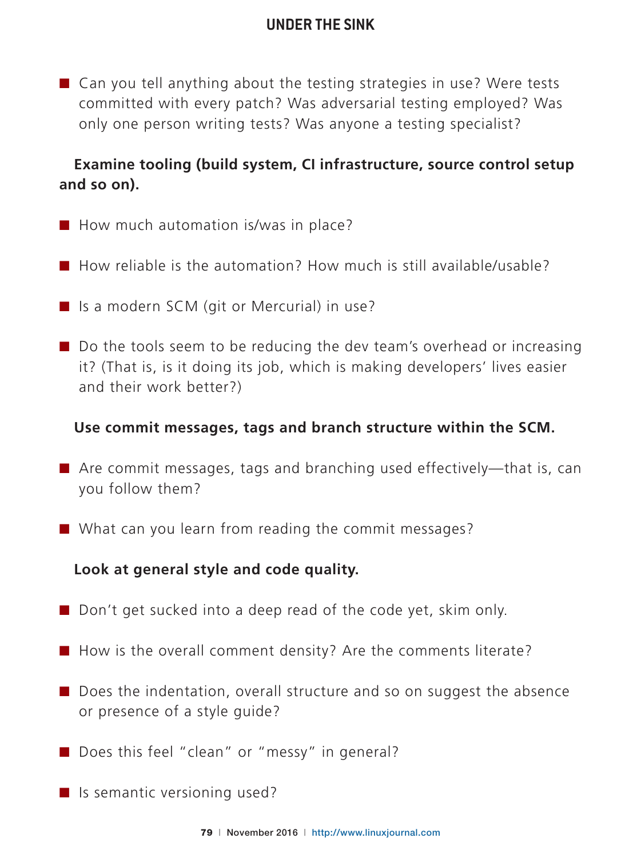$\blacksquare$  Can you tell anything about the testing strategies in use? Were tests committed with every patch? Was adversarial testing employed? Was only one person writing tests? Was anyone a testing specialist?

#### **Examine tooling (build system, CI infrastructure, source control setup and so on).**

- $\blacksquare$  How much automation is/was in place?
- $\blacksquare$  How reliable is the automation? How much is still available/usable?
- $\blacksquare$  Is a modern SCM (git or Mercurial) in use?
- $\blacksquare$  Do the tools seem to be reducing the dev team's overhead or increasing it? (That is, is it doing its job, which is making developers' lives easier and their work better?)

#### **Use commit messages, tags and branch structure within the SCM.**

- $\blacksquare$  Are commit messages, tags and branching used effectively—that is, can you follow them?
- $\blacksquare$  What can you learn from reading the commit messages?

**Look at general style and code quality.**

- $\blacksquare$  Don't get sucked into a deep read of the code yet, skim only.
- $\blacksquare$  How is the overall comment density? Are the comments literate?
- $\blacksquare$  Does the indentation, overall structure and so on suggest the absence or presence of a style guide?
- $\blacksquare$  Does this feel "clean" or "messy" in general?
- $\blacksquare$  Is semantic versioning used?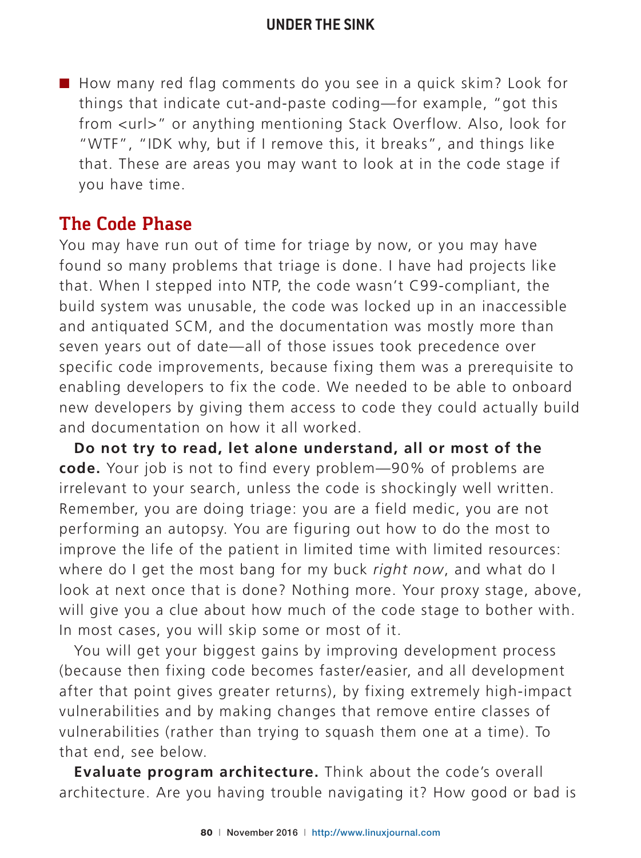$\blacksquare$  How many red flag comments do you see in a quick skim? Look for things that indicate cut-and-paste coding—for example, "got this from <url>" or anything mentioning Stack Overflow. Also, look for "WTF", "IDK why, but if I remove this, it breaks", and things like that. These are areas you may want to look at in the code stage if you have time.

## **The Code Phase**

You may have run out of time for triage by now, or you may have found so many problems that triage is done. I have had projects like that. When I stepped into NTP, the code wasn't C99-compliant, the build system was unusable, the code was locked up in an inaccessible and antiquated SCM, and the documentation was mostly more than seven years out of date-all of those issues took precedence over specific code improvements, because fixing them was a prerequisite to enabling developers to fix the code. We needed to be able to onboard new developers by giving them access to code they could actually build and documentation on how it all worked.

**Do not try to read, let alone understand, all or most of the code.** Your job is not to find every problem -90% of problems are irrelevant to your search, unless the code is shockingly well written. Remember, you are doing triage: you are a field medic, you are not performing an autopsy. You are figuring out how to do the most to improve the life of the patient in limited time with limited resources: where do I get the most bang for my buck *right now*, and what do I look at next once that is done? Nothing more. Your proxy stage, above, will give you a clue about how much of the code stage to bother with. In most cases, you will skip some or most of it.

You will get your biggest gains by improving development process (because then fixing code becomes faster/easier, and all development after that point gives greater returns), by fixing extremely high-impact vulnerabilities and by making changes that remove entire classes of vulnerabilities (rather than trying to squash them one at a time). To that end, see below.

**Evaluate program architecture.** Think about the code's overall architecture. Are you having trouble navigating it? How good or bad is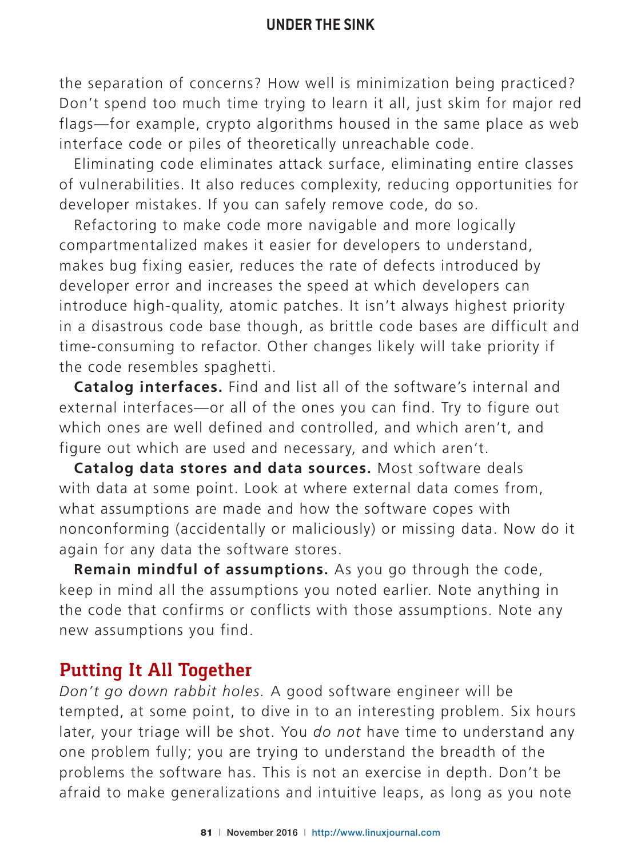the separation of concerns? How well is minimization being practiced? Don't spend too much time trying to learn it all, just skim for major red flags—for example, crypto algorithms housed in the same place as web interface code or piles of theoretically unreachable code.

Eliminating code eliminates attack surface, eliminating entire classes of vulnerabilities. It also reduces complexity, reducing opportunities for developer mistakes. If you can safely remove code, do so.

Refactoring to make code more navigable and more logically compartmentalized makes it easier for developers to understand, makes bug fixing easier, reduces the rate of defects introduced by developer error and increases the speed at which developers can introduce high-quality, atomic patches. It isn't always highest priority in a disastrous code base though, as brittle code bases are difficult and time-consuming to refactor. Other changes likely will take priority if the code resembles spaghetti.

**Catalog interfaces.** Find and list all of the software's internal and external interfaces-or all of the ones you can find. Try to figure out which ones are well defined and controlled, and which aren't, and figure out which are used and necessary, and which aren't.

**Catalog data stores and data sources.** Most software deals with data at some point. Look at where external data comes from, what assumptions are made and how the software copes with nonconforming (accidentally or maliciously) or missing data. Now do it again for any data the software stores.

**Remain mindful of assumptions.** As you go through the code, keep in mind all the assumptions you noted earlier. Note anything in the code that confirms or conflicts with those assumptions. Note any new assumptions you find.

#### **Putting It All Together**

*Don't go down rabbit holes.* A good software engineer will be tempted, at some point, to dive in to an interesting problem. Six hours later, your triage will be shot. You *do not* have time to understand any one problem fully; you are trying to understand the breadth of the problems the software has. This is not an exercise in depth. Don't be afraid to make generalizations and intuitive leaps, as long as you note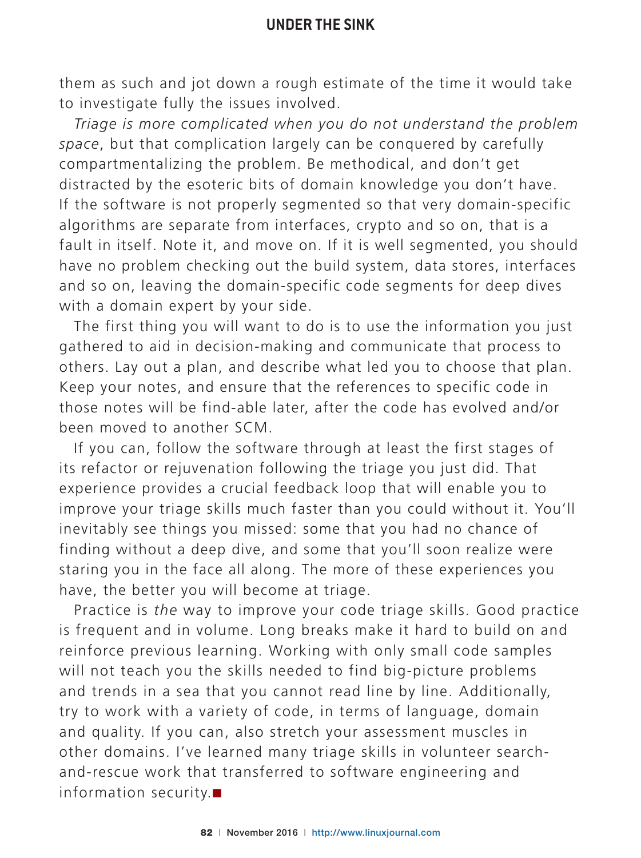them as such and jot down a rough estimate of the time it would take to investigate fully the issues involved.

*Triage is more complicated when you do not understand the problem*  space, but that complication largely can be conquered by carefully compartmentalizing the problem. Be methodical, and don't get distracted by the esoteric bits of domain knowledge you don't have. If the software is not properly segmented so that very domain-specific algorithms are separate from interfaces, crypto and so on, that is a fault in itself. Note it, and move on. If it is well segmented, you should have no problem checking out the build system, data stores, interfaces and so on, leaving the domain-specific code segments for deep dives with a domain expert by your side.

The first thing you will want to do is to use the information you just gathered to aid in decision-making and communicate that process to others. Lay out a plan, and describe what led you to choose that plan. Keep your notes, and ensure that the references to specific code in those notes will be find-able later, after the code has evolved and/or been moved to another SCM.

If you can, follow the software through at least the first stages of its refactor or rejuvenation following the triage you just did. That experience provides a crucial feedback loop that will enable you to improve your triage skills much faster than you could without it. You'll inevitably see things you missed: some that you had no chance of finding without a deep dive, and some that you'll soon realize were staring you in the face all along. The more of these experiences you have, the better you will become at triage.

Practice is *the* way to improve your code triage skills. Good practice is frequent and in volume. Long breaks make it hard to build on and reinforce previous learning. Working with only small code samples will not teach you the skills needed to find big-picture problems and trends in a sea that you cannot read line by line. Additionally, try to work with a variety of code, in terms of language, domain and quality. If you can, also stretch your assessment muscles in other domains. I've learned many triage skills in volunteer searchand-rescue work that transferred to software engineering and information security. $\blacksquare$